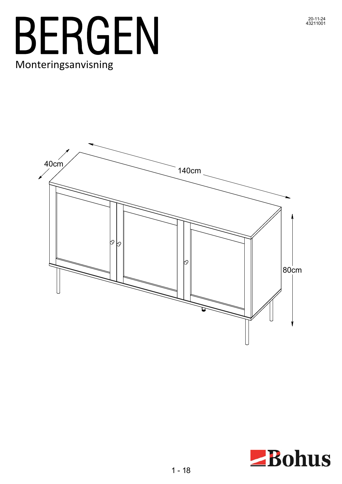



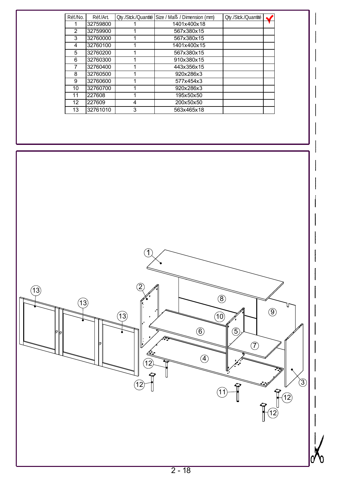| Réf./No. | Réf./Art. |   | Oty./Stck./Quantité   Size / Maß / Dimension (mm) | Oty./Stck./Quantité |  |  |
|----------|-----------|---|---------------------------------------------------|---------------------|--|--|
|          | 32759800  |   | 1401x400x18                                       |                     |  |  |
| 2        | 32759900  |   | 567x380x15                                        |                     |  |  |
| 3        | 32760000  |   | 567x380x15                                        |                     |  |  |
| 4        | 32760100  |   | 1401x400x15                                       |                     |  |  |
| 5        | 32760200  |   | 567x380x15                                        |                     |  |  |
| 6        | 32760300  |   | 910x380x15                                        |                     |  |  |
|          | 32760400  |   | 443x356x15                                        |                     |  |  |
| 8        | 32760500  |   | 920x286x3                                         |                     |  |  |
| 9        | 32760600  |   | 577x454x3                                         |                     |  |  |
| 10       | 32760700  |   | 920x286x3                                         |                     |  |  |
| 11       | 227608    |   | 195x50x50                                         |                     |  |  |
| 12       | 227609    | 4 | 200x50x50                                         |                     |  |  |
| 13       | 32761010  | 3 | 563x465x18                                        |                     |  |  |

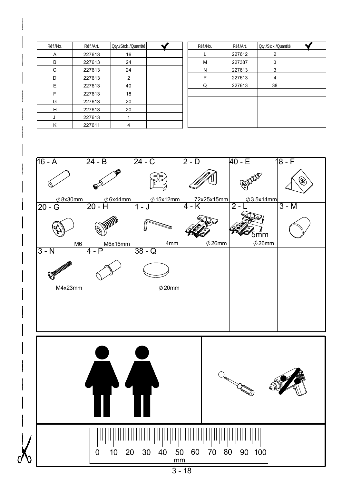| Réf./No. | Réf./Art. | Oty./Stck./Quantité | Réf./No. | Réf./Art. | Oty./Stck./Quantité |  |
|----------|-----------|---------------------|----------|-----------|---------------------|--|
| A        | 227613    | 16                  |          | 227612    | 2                   |  |
| B        | 227613    | 24                  | M        | 227387    | 3                   |  |
| C        | 227613    | 24                  | N        | 227613    | 3                   |  |
| D        | 227613    | $\mathcal{P}$       | P        | 227613    | 4                   |  |
| Е        | 227613    | 40                  | Q        | 227613    | 38                  |  |
| F        | 227613    | 18                  |          |           |                     |  |
| G        | 227613    | 20                  |          |           |                     |  |
| H        | 227613    | 20                  |          |           |                     |  |
| J        | 227613    |                     |          |           |                     |  |
| Κ        | 227611    | 4                   |          |           |                     |  |



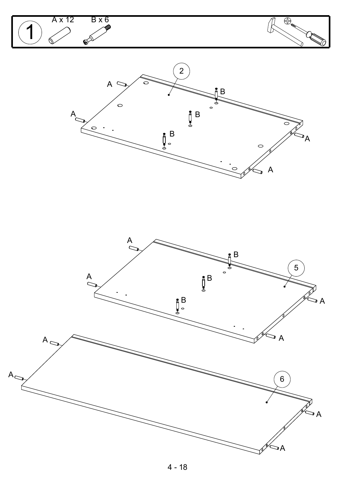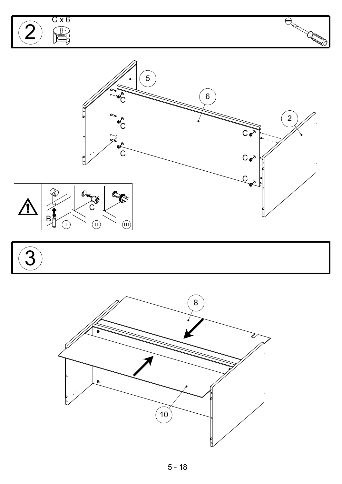



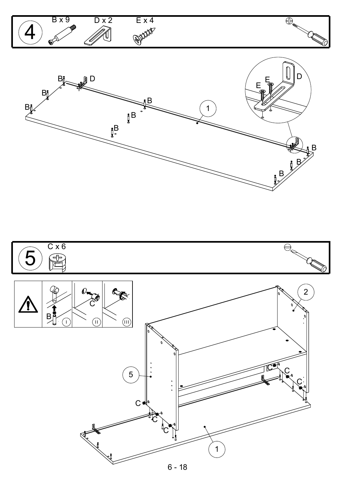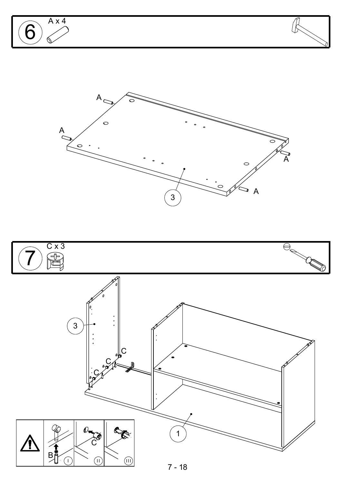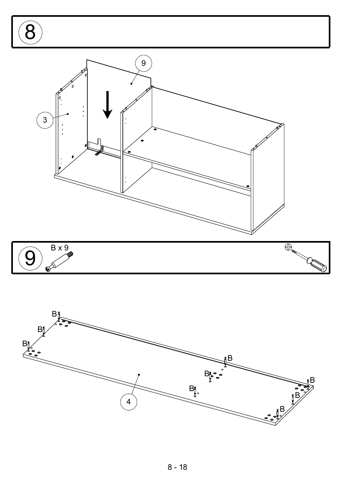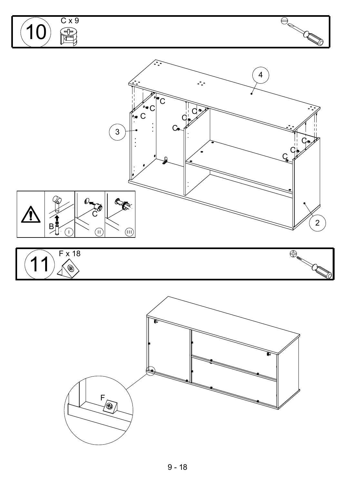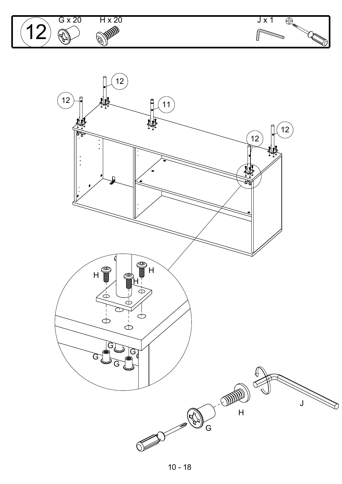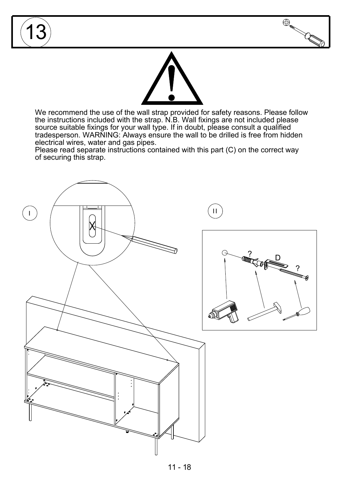

We recommend the use of the wall strap provided for safety reasons. Please follow the instructions included with the strap. N.B. Wall fixings are not included please source suitable fixings for your wall type. If in doubt, please consult a qualified tradesperson. WARNING: Always ensure the wall to be drilled is free from hidden electrical wires, water and gas pipes.

Please read separate instructions contained with this part (C) on the correct way of securing this strap.

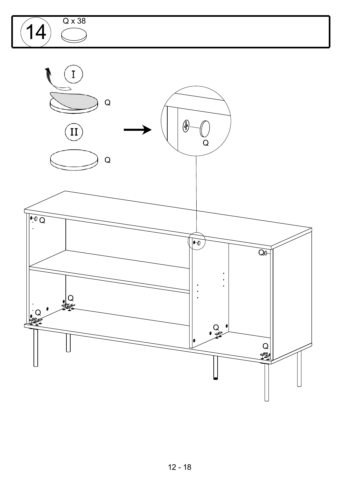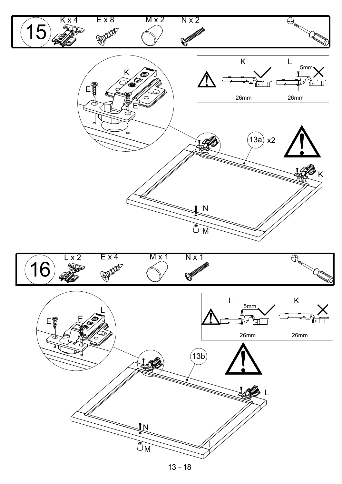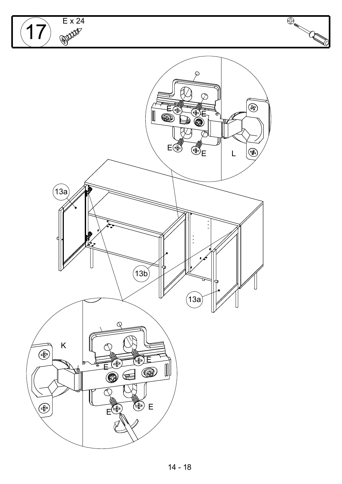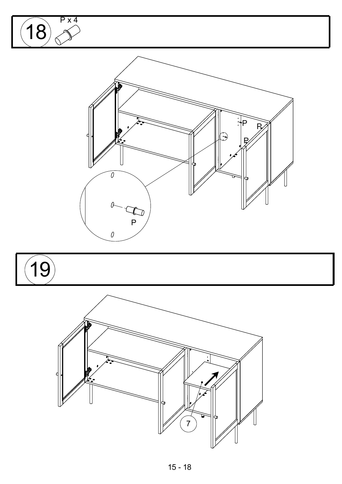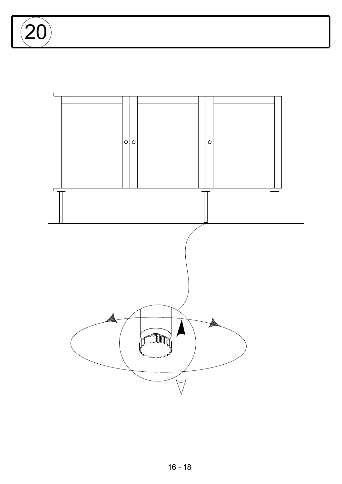$\overline{2}$ 

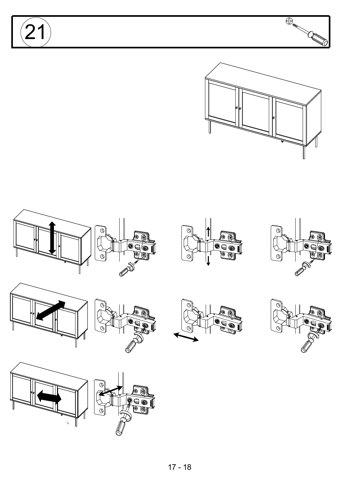